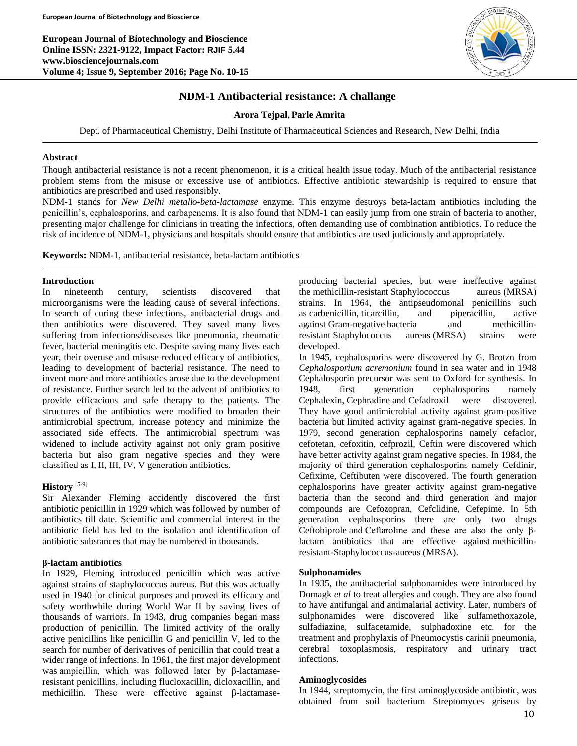**European Journal of Biotechnology and Bioscience Online ISSN: 2321-9122, Impact Factor: RJIF 5.44 www.biosciencejournals.com Volume 4; Issue 9, September 2016; Page No. 10-15**



## **NDM-1 Antibacterial resistance: A challange**

## **Arora Tejpal, Parle Amrita**

Dept. of Pharmaceutical Chemistry, Delhi Institute of Pharmaceutical Sciences and Research, New Delhi, India

## **Abstract**

Though antibacterial resistance is not a recent phenomenon, it is a critical health issue today. Much of the antibacterial resistance problem stems from the misuse or excessive use of antibiotics. Effective antibiotic stewardship is required to ensure that antibiotics are prescribed and used responsibly.

NDM-1 stands for *New Delhi metallo-beta-lactamase* enzyme. This enzyme destroys beta-lactam antibiotics including the penicillin's, cephalosporins, and carbapenems. It is also found that NDM-1 can easily jump from one strain of bacteria to another, presenting major challenge for clinicians in treating the infections, often demanding use of combination antibiotics. To reduce the risk of incidence of NDM-1, physicians and hospitals should ensure that antibiotics are used judiciously and appropriately.

**Keywords:** NDM-1, antibacterial resistance, beta-lactam antibiotics

## **Introduction**

In nineteenth century, scientists discovered that microorganisms were the leading cause of several infections. In search of curing these infections, antibacterial drugs and then antibiotics were discovered. They saved many lives suffering from infections/diseases like pneumonia, rheumatic fever, bacterial meningitis etc. Despite saving many lives each year, their overuse and misuse reduced efficacy of antibiotics, leading to development of bacterial resistance. The need to invent more and more antibiotics arose due to the development of resistance. Further search led to the advent of antibiotics to provide efficacious and safe therapy to the patients. The structures of the antibiotics were modified to broaden their antimicrobial spectrum, increase potency and minimize the associated side effects. The antimicrobial spectrum was widened to include activity against not only gram positive bacteria but also gram negative species and they were classified as I, II, III, IV, V generation antibiotics.

## **History** [5-9]

Sir Alexander Fleming accidently discovered the first antibiotic penicillin in 1929 which was followed by number of antibiotics till date. Scientific and commercial interest in the antibiotic field has led to the isolation and identification of antibiotic substances that may be numbered in thousands.

### **β-lactam antibiotics**

In 1929, Fleming introduced penicillin which was active against strains of staphylococcus aureus. But this was actually used in 1940 for clinical purposes and proved its efficacy and safety worthwhile during World War II by saving lives of thousands of warriors. In 1943, drug companies began mass production of penicillin. The limited activity of the orally active penicillins like penicillin G and penicillin V, led to the search for number of derivatives of penicillin that could treat a wider range of infections. In 1961, the first major development was ampicillin, which was followed later by β-lactamaseresistant penicillins, including flucloxacillin, dicloxacillin, and methicillin. These were effective against β-lactamaseproducing bacterial species, but were ineffective against the methicillin-resistant Staphylococcus aureus (MRSA) strains. In 1964, the antipseudomonal penicillins such as carbenicillin, ticarcillin, and piperacillin, active against Gram-negative bacteria and methicillinresistant Staphylococcus aureus (MRSA) strains were developed.

In 1945, cephalosporins were discovered by G. Brotzn from *Cephalosporium acremonium* found in sea water and in 1948 Cephalosporin precursor was sent to Oxford for synthesis. In 1948, first generation cephalosporins namely Cephalexin, Cephradine and Cefadroxil were discovered. They have good antimicrobial activity against gram-positive bacteria but limited activity against gram-negative species. In 1979, second generation cephalosporins namely cefaclor, cefotetan, cefoxitin, cefprozil, Ceftin were discovered which have better activity against gram negative species. In 1984, the majority of third generation cephalosporins namely Cefdinir, Cefixime, Ceftibuten were discovered. The fourth generation cephalosporins have greater activity against gram-negative bacteria than the second and third generation and major compounds are Cefozopran, Cefclidine, Cefepime. In 5th generation cephalosporins there are only two drugs Ceftobiprole and Ceftaroline and these are also the only βlactam antibiotics that are effective against methicillinresistant-Staphylococcus-aureus (MRSA).

### **Sulphonamides**

In 1935, the antibacterial sulphonamides were introduced by Domagk *et al* to treat allergies and cough. They are also found to have antifungal and antimalarial activity. Later, numbers of sulphonamides were discovered like sulfamethoxazole, sulfadiazine, sulfacetamide, sulphadoxine etc. for the treatment and prophylaxis of Pneumocystis carinii pneumonia, cerebral toxoplasmosis, respiratory and urinary tract infections.

## **Aminoglycosides**

In 1944, streptomycin, the first aminoglycoside antibiotic, was obtained from soil bacterium Streptomyces griseus by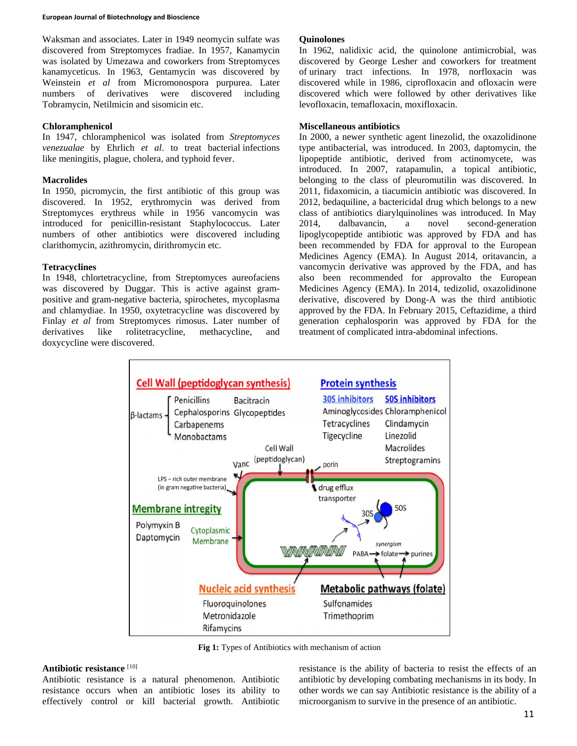Waksman and associates. Later in 1949 neomycin sulfate was discovered from Streptomyces fradiae. In 1957, Kanamycin was isolated by Umezawa and coworkers from Streptomyces kanamyceticus. In 1963, Gentamycin was discovered by Weinstein *et al* from Micromonospora purpurea. Later numbers of derivatives were discovered including Tobramycin, Netilmicin and sisomicin etc.

### **Chloramphenicol**

In 1947, chloramphenicol was isolated from *Streptomyces venezualae* by Ehrlich *et al*. to treat bacterial infections like meningitis, plague, cholera, and typhoid fever.

## **Macrolides**

In 1950, picromycin, the first antibiotic of this group was discovered. In 1952, erythromycin was derived from Streptomyces erythreus while in 1956 vancomycin was introduced for penicillin-resistant Staphylococcus. Later numbers of other antibiotics were discovered including clarithomycin, azithromycin, dirithromycin etc.

## **Tetracyclines**

In 1948, chlortetracycline, from Streptomyces aureofaciens was discovered by Duggar. This is active against grampositive and gram-negative bacteria, spirochetes, mycoplasma and chlamydiae. In 1950, oxytetracycline was discovered by Finlay *et al* from Streptomyces rimosus. Later number of derivatives like rolitetracycline, methacycline, and doxycycline were discovered.

## **Quinolones**

In 1962, nalidixic acid, the quinolone antimicrobial, was discovered by George Lesher and coworkers for treatment of urinary tract infections. In 1978, norfloxacin was discovered while in 1986, ciprofloxacin and ofloxacin were discovered which were followed by other derivatives like levofloxacin, temafloxacin, moxifloxacin.

## **Miscellaneous antibiotics**

In 2000, a newer synthetic agent linezolid, the oxazolidinone type antibacterial, was introduced. In 2003, daptomycin, the lipopeptide antibiotic, derived from actinomycete, was introduced. In 2007, ratapamulin, a topical antibiotic, belonging to the class of pleuromutilin was discovered. In 2011, fidaxomicin, a tiacumicin antibiotic was discovered. In 2012, bedaquiline, a bactericidal drug which belongs to a new class of antibiotics diarylquinolines was introduced. In May 2014, dalbavancin, a novel second-generation lipoglycopeptide antibiotic was approved by FDA and has been recommended by FDA for approval to the European Medicines Agency (EMA). In August 2014, oritavancin, a vancomycin derivative was approved by the FDA, and has also been recommended for approvalto the European Medicines Agency (EMA). In 2014, tedizolid, oxazolidinone derivative, discovered by Dong-A was the third antibiotic approved by the FDA. In February 2015, Ceftazidime, a third generation cephalosporin was approved by FDA for the treatment of complicated intra-abdominal infections.



**Fig 1:** Types of Antibiotics with mechanism of action

# **Antibiotic resistance** [10]

Antibiotic resistance is a natural phenomenon. Antibiotic resistance occurs when an antibiotic loses its ability to effectively control or kill bacterial growth. Antibiotic

resistance is the ability of bacteria to resist the effects of an antibiotic by developing combating mechanisms in its body. In other words we can say Antibiotic resistance is the ability of a microorganism to survive in the presence of an antibiotic.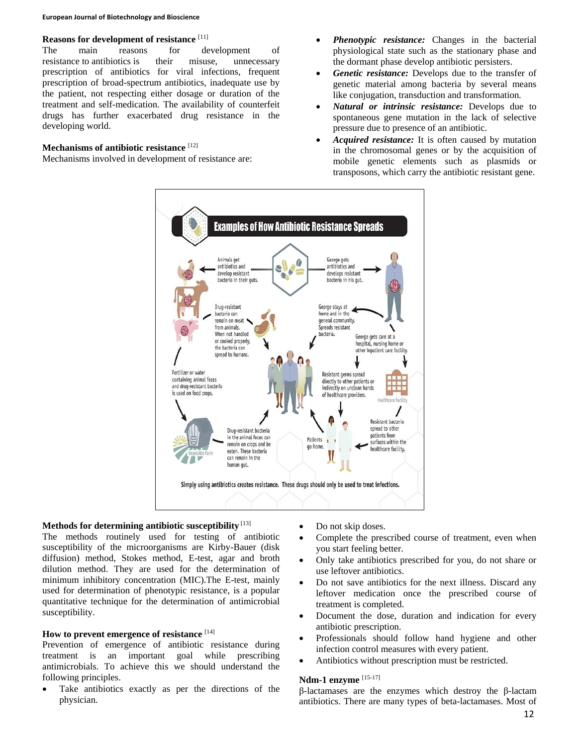#### **European Journal of Biotechnology and Bioscience**

## **Reasons for development of resistance** [11]

The main reasons for development of resistance to antibiotics is their misuse, unnecessary prescription of antibiotics for viral infections, frequent prescription of broad-spectrum antibiotics, inadequate use by the patient, not respecting either dosage or duration of the treatment and self-medication. The availability of counterfeit drugs has further exacerbated drug resistance in the developing world.

### **Mechanisms of antibiotic resistance** [12]

Mechanisms involved in development of resistance are:

- *Phenotypic resistance:* Changes in the bacterial physiological state such as the stationary phase and the dormant phase develop antibiotic persisters.
- *Genetic resistance:* Develops due to the transfer of genetic material among bacteria by several means like conjugation, transduction and transformation*.*
- *Natural or intrinsic resistance:* Develops due to spontaneous gene mutation in the lack of selective pressure due to presence of an antibiotic.
- *Acquired resistance:* It is often caused by mutation in the chromosomal genes or by the acquisition of mobile genetic elements such as plasmids or transposons, which carry the antibiotic resistant gene.



### **Methods for determining antibiotic susceptibility** [13]

The methods routinely used for testing of antibiotic susceptibility of the microorganisms are Kirby-Bauer (disk diffusion) method, Stokes method, E-test, agar and broth dilution method. They are used for the determination of minimum inhibitory concentration (MIC).The E-test, mainly used for determination of phenotypic resistance, is a popular quantitative technique for the determination of antimicrobial susceptibility.

## **How to prevent emergence of resistance** [14]

Prevention of emergence of antibiotic resistance during treatment is an important goal while prescribing antimicrobials. To achieve this we should understand the following principles.

 Take antibiotics exactly as per the directions of the physician.

- Do not skip doses.
- Complete the prescribed course of treatment, even when you start feeling better.
- Only take antibiotics prescribed for you, do not share or use leftover antibiotics.
- Do not save antibiotics for the next illness. Discard any leftover medication once the prescribed course of treatment is completed.
- Document the dose, duration and indication for every antibiotic prescription.
- Professionals should follow hand hygiene and other infection control measures with every patient.
- Antibiotics without prescription must be restricted.

## **Ndm-1 enzyme** [15-17]

β-lactamases are the enzymes which destroy the β-lactam antibiotics. There are many types of beta-lactamases. Most of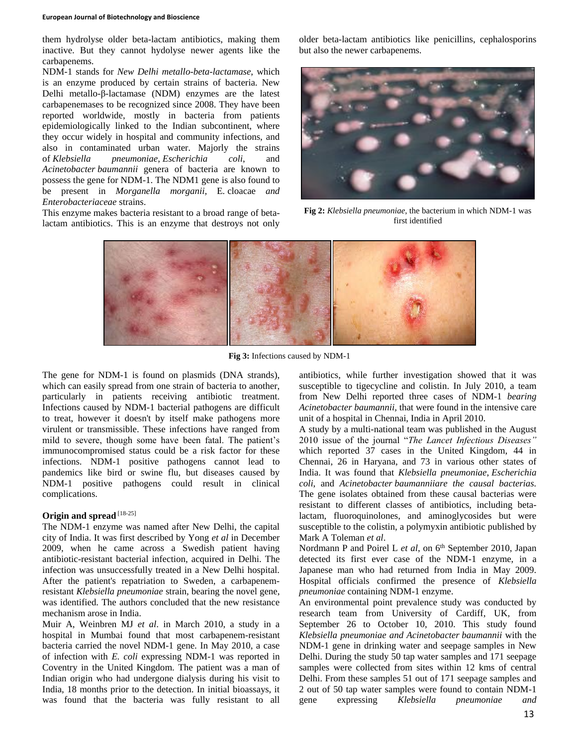#### **European Journal of Biotechnology and Bioscience**

them hydrolyse older beta-lactam antibiotics, making them inactive. But they cannot hydolyse newer agents like the carbapenems.

NDM-1 stands for *New Delhi metallo-beta-lactamase*, which is an enzyme produced by certain strains of bacteria. New Delhi metallo-β-lactamase (NDM) enzymes are the latest carbapenemases to be recognized since 2008. They have been reported worldwide, mostly in bacteria from patients epidemiologically linked to the Indian subcontinent, where they occur widely in hospital and community infections, and also in contaminated urban water. Majorly the strains of *Klebsiella pneumoniae*, *Escherichia coli*, and *Acinetobacter baumannii* genera of bacteria are known to possess the gene for NDM-1. The NDM1 gene is also found to be present in *Morganella morganii,* E*.* cloacae *and Enterobacteriaceae* strains.

This enzyme makes bacteria resistant to a broad range of betalactam antibiotics. This is an enzyme that destroys not only older beta-lactam antibiotics like penicillins, cephalosporins but also the newer carbapenems.



**Fig 2:** *Klebsiella pneumoniae*, the bacterium in which NDM-1 was first identified



**Fig 3:** Infections caused by NDM-1

The gene for NDM-1 is found on plasmids (DNA strands), which can easily spread from one strain of bacteria to another, particularly in patients receiving antibiotic treatment. Infections caused by NDM-1 bacterial pathogens are difficult to treat, however it doesn't by itself make pathogens more virulent or transmissible. These infections have ranged from mild to severe, though some have been fatal. The patient's immunocompromised status could be a risk factor for these infections. NDM-1 positive pathogens cannot lead to pandemics like bird or swine flu, but diseases caused by NDM-1 positive pathogens could result in clinical complications.

# **Origin and spread** [18-25]

The NDM-1 enzyme was named after New Delhi, the capital city of India. It was first described by Yong *et al* in December 2009, when he came across a Swedish patient having antibiotic-resistant bacterial infection, acquired in Delhi. The infection was unsuccessfully treated in a New Delhi hospital. After the patient's repatriation to Sweden, a carbapenemresistant *Klebsiella pneumoniae* strain, bearing the novel gene, was identified. The authors concluded that the new resistance mechanism arose in India.

Muir A, Weinbren MJ *et al*. in March 2010, a study in a hospital in Mumbai found that most carbapenem-resistant bacteria carried the novel NDM-1 gene. In May 2010, a case of infection with *E. coli* expressing NDM-1 was reported in Coventry in the United Kingdom. The patient was a man of Indian origin who had undergone dialysis during his visit to India, 18 months prior to the detection. In initial bioassays, it was found that the bacteria was fully resistant to all

antibiotics, while further investigation showed that it was susceptible to tigecycline and colistin. In July 2010, a team from New Delhi reported three cases of NDM-1 *bearing Acinetobacter baumannii,* that were found in the intensive care unit of a hospital in Chennai, India in April 2010.

A study by a multi-national team was published in the August 2010 issue of the journal "*The Lancet Infectious Diseases"*  which reported 37 cases in the United Kingdom, 44 in Chennai, 26 in Haryana, and 73 in various other states of India. It was found that *Klebsiella pneumoniae*, *Escherichia coli*, and *Acinetobacter baumanniiare the causal bacterias.*  The gene isolates obtained from these causal bacterias were resistant to different classes of antibiotics, including betalactam, fluoroquinolones, and aminoglycosides but were susceptible to the colistin, a polymyxin antibiotic published by Mark A Toleman *et al*.

Nordmann P and Poirel L et al, on 6<sup>th</sup> September 2010, Japan detected its first ever case of the NDM-1 enzyme, in a Japanese man who had returned from India in May 2009. Hospital officials confirmed the presence of *Klebsiella pneumoniae* containing NDM-1 enzyme.

An environmental point prevalence study was conducted by research team from University of Cardiff, UK, from September 26 to October 10, 2010. This study found *Klebsiella pneumoniae and Acinetobacter baumannii* with the NDM-1 gene in drinking water and seepage samples in New Delhi. During the study 50 tap water samples and 171 seepage samples were collected from sites within 12 kms of central Delhi. From these samples 51 out of 171 seepage samples and 2 out of 50 tap water samples were found to contain NDM-1 gene expressing *Klebsiella pneumoniae and*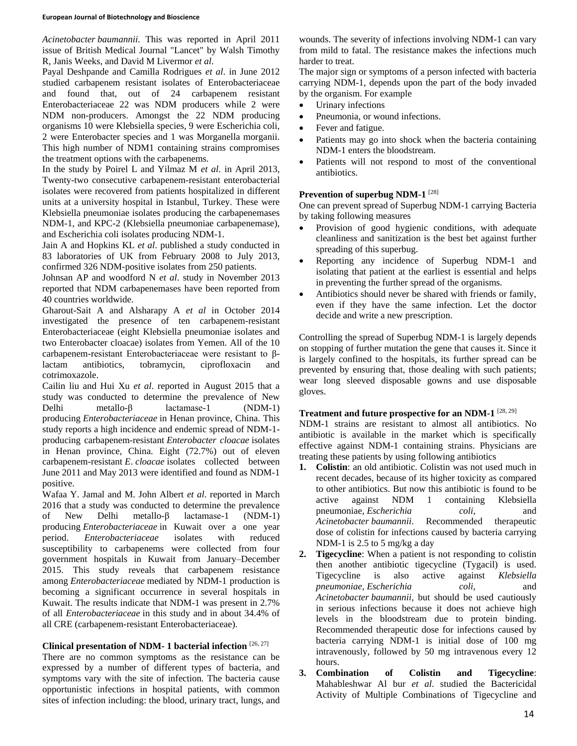*Acinetobacter baumannii*. This was reported in April 2011 issue of British Medical Journal "Lancet" by Walsh Timothy R, Janis Weeks, and David M Livermor *et al*.

Payal Deshpande and Camilla Rodrigues *et al*. in June 2012 studied carbapenem resistant isolates of Enterobacteriaceae and found that, out of 24 carbapenem resistant Enterobacteriaceae 22 was NDM producers while 2 were NDM non-producers. Amongst the 22 NDM producing organisms 10 were Klebsiella species, 9 were Escherichia coli, 2 were Enterobacter species and 1 was Morganella morganii. This high number of NDM1 containing strains compromises the treatment options with the carbapenems.

In the study by Poirel L and Yilmaz M *et al*. in April 2013, Twenty-two consecutive carbapenem-resistant enterobacterial isolates were recovered from patients hospitalized in different units at a university hospital in Istanbul, Turkey. These were Klebsiella pneumoniae isolates producing the carbapenemases NDM-1, and KPC-2 (Klebsiella pneumoniae carbapenemase), and Escherichia coli isolates producing NDM-1.

Jain A and Hopkins KL *et al*. published a study conducted in 83 laboratories of UK from February 2008 to July 2013, confirmed 326 NDM-positive isolates from 250 patients.

Johnsan AP and woodford N *et al*. study in November 2013 reported that NDM carbapenemases have been reported from 40 countries worldwide.

Gharout-Sait A and Alsharapy A *et al* in October 2014 investigated the presence of ten carbapenem-resistant Enterobacteriaceae (eight Klebsiella pneumoniae isolates and two Enterobacter cloacae) isolates from Yemen. All of the 10 carbapenem-resistant Enterobacteriaceae were resistant to βlactam antibiotics, tobramycin, ciprofloxacin and cotrimoxazole.

Cailin liu and Hui Xu *et al*. reported in August 2015 that a study was conducted to determine the prevalence of New Delhi metallo-β lactamase-1 (NDM-1) producing *Enterobacteriaceae* in Henan province, China. This study reports a high incidence and endemic spread of NDM-1 producing carbapenem-resistant *Enterobacter cloacae* isolates in Henan province, China. Eight (72.7%) out of eleven carbapenem-resistant *E*. *cloacae* isolates collected between June 2011 and May 2013 were identified and found as NDM-1 positive.

Wafaa Y. Jamal and M. John Albert *et al*. reported in March 2016 that a study was conducted to determine the prevalence of New Delhi metallo-β lactamase-1 (NDM-1) producing *Enterobacteriaceae* in Kuwait over a one year period. *Enterobacteriaceae* isolates with reduced susceptibility to carbapenems were collected from four government hospitals in Kuwait from January–December 2015. This study reveals that carbapenem resistance among *Enterobacteriaceae* mediated by NDM-1 production is becoming a significant occurrence in several hospitals in Kuwait. The results indicate that NDM-1 was present in 2.7% of all *Enterobacteriaceae* in this study and in about 34.4% of all CRE (carbapenem-resistant Enterobacteriaceae).

## **Clinical presentation of NDM- 1 bacterial infection** [26, 27]

There are no common symptoms as the resistance can be expressed by a number of different types of bacteria, and symptoms vary with the site of infection. The bacteria cause opportunistic infections in hospital patients, with common sites of infection including: the blood, urinary tract, lungs, and

wounds. The severity of infections involving NDM-1 can vary from mild to fatal. The resistance makes the infections much harder to treat.

The major sign or symptoms of a person infected with bacteria carrying NDM-1, depends upon the part of the body invaded by the organism. For example

- Urinary infections
- Pneumonia, or wound infections.
- Fever and fatigue.
- Patients may go into shock when the bacteria containing NDM-1 enters the bloodstream.
- Patients will not respond to most of the conventional antibiotics.

## **Prevention of superbug NDM-1** [28]

One can prevent spread of Superbug NDM-1 carrying Bacteria by taking following measures

- Provision of good hygienic conditions, with adequate cleanliness and sanitization is the best bet against further spreading of this superbug.
- Reporting any incidence of Superbug NDM-1 and isolating that patient at the earliest is essential and helps in preventing the further spread of the organisms.
- Antibiotics should never be shared with friends or family, even if they have the same infection. Let the doctor decide and write a new prescription.

Controlling the spread of Superbug NDM-1 is largely depends on stopping of further mutation the gene that causes it. Since it is largely confined to the hospitals, its further spread can be prevented by ensuring that, those dealing with such patients; wear long sleeved disposable gowns and use disposable gloves.

## **Treatment and future prospective for an NDM-1** [28, 29]

NDM-1 strains are resistant to almost all antibiotics. No antibiotic is available in the market which is specifically effective against NDM-1 containing strains. Physicians are treating these patients by using following antibiotics

- **1. Colistin**: an old antibiotic. Colistin was not used much in recent decades, because of its higher toxicity as compared to other antibiotics. But now this antibiotic is found to be active against NDM 1 containing Klebsiella pneumoniae, *Escherichia coli*, and *Acinetobacter baumannii*. Recommended therapeutic dose of colistin for infections caused by bacteria carrying NDM-1 is 2.5 to 5 mg/kg a day
- **2. Tigecycline**: When a patient is not responding to colistin then another antibiotic tigecycline (Tygacil) is used. Tigecycline is also active against *Klebsiella pneumoniae*, *Escherichia coli*, and *Acinetobacter baumannii,* but should be used cautiously in serious infections because it does not achieve high levels in the bloodstream due to protein binding. Recommended therapeutic dose for infections caused by bacteria carrying NDM-1 is initial dose of 100 mg intravenously, followed by 50 mg intravenous every 12 hours.
- **3. Combination of Colistin and Tigecycline**: Mahableshwar Al bur *et al*. studied the Bactericidal Activity of Multiple Combinations of Tigecycline and